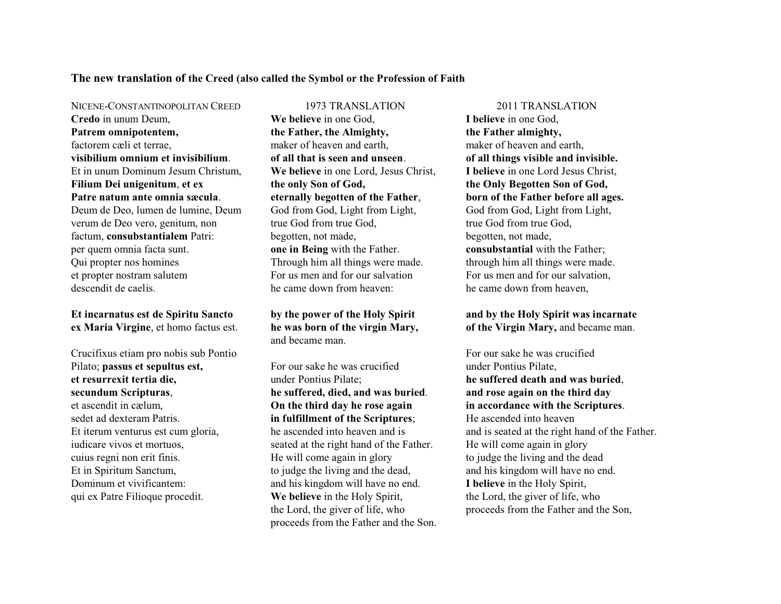## **The new translation of the Creed (also called the Symbol or the Profession of Faith**

**Credo** in unum Deum, **Patrem omnipotentem,** factorem cæli et terrae, **visibilium omnium et invisibilium**. Et in unum Dominum Jesum Christum, **Filium Dei unigenitum**, **et ex Patre natum ante omnia sæcula**. Deum de Deo, lumen de lumine, Deum verum de Deo vero, genitum, non factum, **consubstantialem** Patri: per quem omnia facta sunt. Qui propter nos homines

et propter nostram salutem descendit de caelis.

**Et incarnatus est de Spiritu Sancto ex Maria Virgine**, et homo factus est.

Crucifixus etiam pro nobis sub Pontio Pilato; **passus et sepultus est, et resurrexit tertia die, secundum Scripturas**, et ascendit in cælum, sedet ad dexteram Patris. Et iterum venturus est cum gloria, iudicare vivos et mortuos, cuius regni non erit finis. Et in Spiritum Sanctum, Dominum et vivificantem: qui ex Patre Filioque procedit.

**We believe** in one God, **the Father, the Almighty,** maker of heaven and earth, **of all that is seen and unseen**. **We believe** in one Lord, Jesus Christ, **the only Son of God, eternally begotten of the Father**, God from God, Light from Light, true God from true God, begotten, not made, **one in Being** with the Father. Through him all things were made. For us men and for our salvation he came down from heaven:

**by the power of the Holy Spirit he was born of the virgin Mary,**  and became man.

For our sake he was crucified under Pontius Pilate; **he suffered, died, and was buried**. **On the third day he rose again in fulfillment of the Scriptures**; he ascended into heaven and is seated at the right hand of the Father. He will come again in glory to judge the living and the dead, and his kingdom will have no end. **We believe** in the Holy Spirit, the Lord, the giver of life, who proceeds from the Father and the Son.

NICENE-CONSTANTINOPOLITAN CREED 1973 TRANSLATION 2011 TRANSLATION **I believe** in one God, **the Father almighty,** maker of heaven and earth, **of all things visible and invisible. I believe** in one Lord Jesus Christ, **the Only Begotten Son of God, born of the Father before all ages.** God from God, Light from Light, true God from true God, begotten, not made, **consubstantial** with the Father; through him all things were made. For us men and for our salvation, he came down from heaven,

> **and by the Holy Spirit was incarnate of the Virgin Mary,** and became man.

For our sake he was crucified under Pontius Pilate, **he suffered death and was buried**, **and rose again on the third day in accordance with the Scriptures**. He ascended into heaven and is seated at the right hand of the Father. He will come again in glory to judge the living and the dead and his kingdom will have no end. **I believe** in the Holy Spirit, the Lord, the giver of life, who proceeds from the Father and the Son,